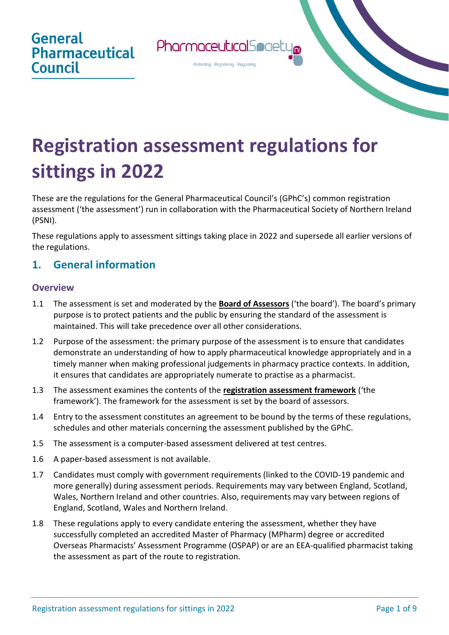

# **Registration assessment regulations for sittings in 2022**

These are the regulations for the General Pharmaceutical Council's (GPhC's) common registration assessment ('the assessment') run in collaboration with the Pharmaceutical Society of Northern Ireland (PSNI).

These regulations apply to assessment sittings taking place in 2022 and supersede all earlier versions of the regulations.

# **1. General information**

#### **Overview**

- 1.1 The assessment is set and moderated by the **[Board of Assessors](https://www.pharmacyregulation.org/education/pharmacist-foundation-training-scheme/registration-assessment/assuring-registration-assessment)** ('the board'). The board's primary purpose is to protect patients and the public by ensuring the standard of the assessment is maintained. This will take precedence over all other considerations.
- 1.2 Purpose of the assessment: the primary purpose of the assessment is to ensure that candidates demonstrate an understanding of how to apply pharmaceutical knowledge appropriately and in a timely manner when making professional judgements in pharmacy practice contexts. In addition, it ensures that candidates are appropriately numerate to practise as a pharmacist.
- 1.3 The assessment examines the contents of the **[registration assessment framework](https://www.pharmacyregulation.org/sites/default/files/document/registration-assessment-framework-for-sittings-in-2022.pdf)** ('the framework'). The framework for the assessment is set by the board of assessors.
- 1.4 Entry to the assessment constitutes an agreement to be bound by the terms of these regulations, schedules and other materials concerning the assessment published by the GPhC.
- 1.5 The assessment is a computer-based assessment delivered at test centres.
- 1.6 A paper-based assessment is not available.
- 1.7 Candidates must comply with government requirements (linked to the COVID-19 pandemic and more generally) during assessment periods. Requirements may vary between England, Scotland, Wales, Northern Ireland and other countries. Also, requirements may vary between regions of England, Scotland, Wales and Northern Ireland.
- 1.8 These regulations apply to every candidate entering the assessment, whether they have successfully completed an accredited Master of Pharmacy (MPharm) degree or accredited Overseas Pharmacists' Assessment Programme (OSPAP) or are an EEA-qualified pharmacist taking the assessment as part of the route to registration.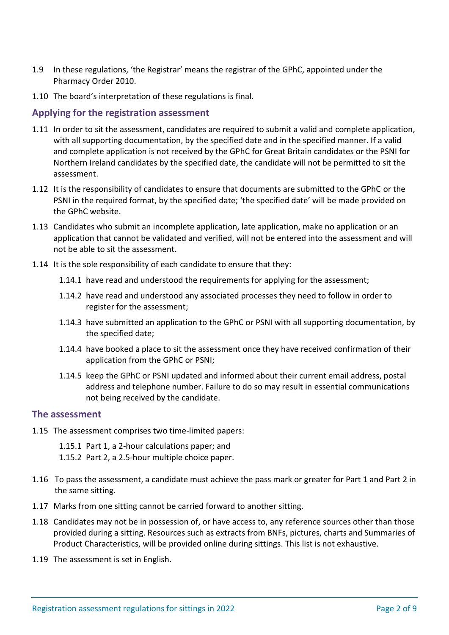- 1.9 In these regulations, 'the Registrar' means the registrar of the GPhC, appointed under the Pharmacy Order 2010.
- 1.10 The board's interpretation of these regulations is final.

#### **Applying for the registration assessment**

- 1.11 In order to sit the assessment, candidates are required to submit a valid and complete application, with all supporting documentation, by the specified date and in the specified manner. If a valid and complete application is not received by the GPhC for Great Britain candidates or the PSNI for Northern Ireland candidates by the specified date, the candidate will not be permitted to sit the assessment.
- 1.12 It is the responsibility of candidates to ensure that documents are submitted to the GPhC or the PSNI in the required format, by the specified date; 'the specified date' will be made provided on the GPhC website.
- 1.13 Candidates who submit an incomplete application, late application, make no application or an application that cannot be validated and verified, will not be entered into the assessment and will not be able to sit the assessment.
- 1.14 It is the sole responsibility of each candidate to ensure that they:
	- 1.14.1 have read and understood the requirements for applying for the assessment;
	- 1.14.2 have read and understood any associated processes they need to follow in order to register for the assessment;
	- 1.14.3 have submitted an application to the GPhC or PSNI with all supporting documentation, by the specified date;
	- 1.14.4 have booked a place to sit the assessment once they have received confirmation of their application from the GPhC or PSNI;
	- 1.14.5 keep the GPhC or PSNI updated and informed about their current email address, postal address and telephone number. Failure to do so may result in essential communications not being received by the candidate.

#### **The assessment**

- 1.15 The assessment comprises two time-limited papers:
	- 1.15.1 Part 1, a 2-hour calculations paper; and
	- 1.15.2 Part 2, a 2.5-hour multiple choice paper.
- 1.16 To pass the assessment, a candidate must achieve the pass mark or greater for Part 1 and Part 2 in the same sitting.
- 1.17 Marks from one sitting cannot be carried forward to another sitting.
- 1.18 Candidates may not be in possession of, or have access to, any reference sources other than those provided during a sitting. Resources such as extracts from BNFs, pictures, charts and Summaries of Product Characteristics, will be provided online during sittings. This list is not exhaustive.
- 1.19 The assessment is set in English.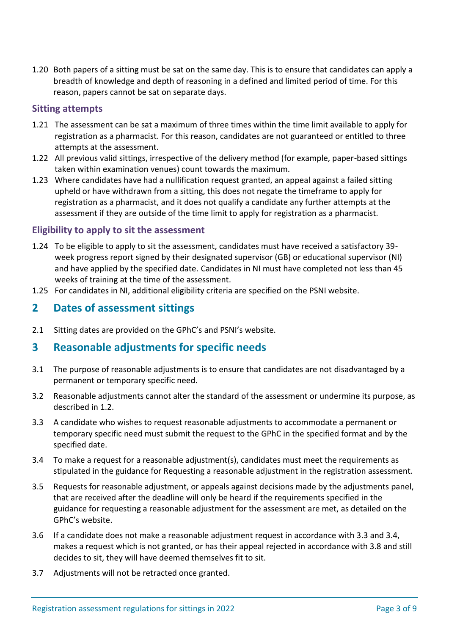1.20 Both papers of a sitting must be sat on the same day. This is to ensure that candidates can apply a breadth of knowledge and depth of reasoning in a defined and limited period of time. For this reason, papers cannot be sat on separate days.

#### **Sitting attempts**

- 1.21 The assessment can be sat a maximum of three times within the time limit available to apply for registration as a pharmacist. For this reason, candidates are not guaranteed or entitled to three attempts at the assessment.
- 1.22 All previous valid sittings, irrespective of the delivery method (for example, paper-based sittings taken within examination venues) count towards the maximum.
- 1.23 Where candidates have had a nullification request granted, an appeal against a failed sitting upheld or have withdrawn from a sitting, this does not negate the timeframe to apply for registration as a pharmacist, and it does not qualify a candidate any further attempts at the assessment if they are outside of the time limit to apply for registration as a pharmacist.

#### **Eligibility to apply to sit the assessment**

- 1.24 To be eligible to apply to sit the assessment, candidates must have received a satisfactory 39 week progress report signed by their designated supervisor (GB) or educational supervisor (NI) and have applied by the specified date. Candidates in NI must have completed not less than 45 weeks of training at the time of the assessment.
- 1.25 For candidates in NI, additional eligibility criteria are specified on the PSNI website.

## **2 Dates of assessment sittings**

2.1 Sitting dates are provided on the GPhC's and PSNI's website.

#### **3 Reasonable adjustments for specific needs**

- 3.1 The purpose of reasonable adjustments is to ensure that candidates are not disadvantaged by a permanent or temporary specific need.
- 3.2 Reasonable adjustments cannot alter the standard of the assessment or undermine its purpose, as described in 1.2.
- 3.3 A candidate who wishes to request reasonable adjustments to accommodate a permanent or temporary specific need must submit the request to the GPhC in the specified format and by the specified date.
- 3.4 To make a request for a reasonable adjustment(s), candidates must meet the requirements as stipulated in the guidance for Requesting a reasonable adjustment in the registration assessment.
- 3.5 Requests for reasonable adjustment, or appeals against decisions made by the adjustments panel, that are received after the deadline will only be heard if the requirements specified in the guidance for requesting a reasonable adjustment for the assessment are met, as detailed on the GPhC's website.
- 3.6 If a candidate does not make a reasonable adjustment request in accordance with 3.3 and 3.4, makes a request which is not granted, or has their appeal rejected in accordance with 3.8 and still decides to sit, they will have deemed themselves fit to sit.
- 3.7 Adjustments will not be retracted once granted.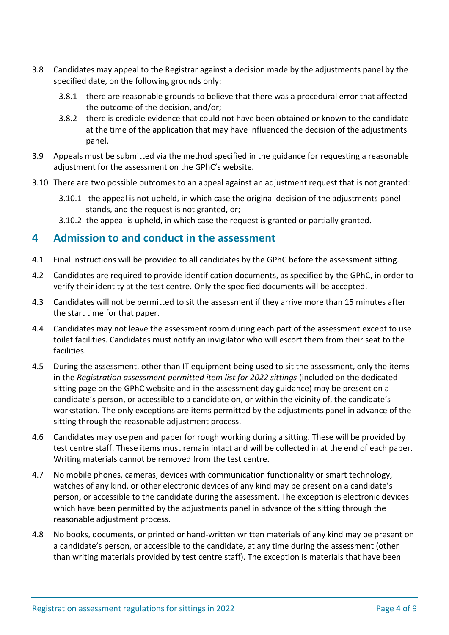- 3.8 Candidates may appeal to the Registrar against a decision made by the adjustments panel by the specified date, on the following grounds only:
	- 3.8.1 there are reasonable grounds to believe that there was a procedural error that affected the outcome of the decision, and/or;
	- 3.8.2 there is credible evidence that could not have been obtained or known to the candidate at the time of the application that may have influenced the decision of the adjustments panel.
- 3.9 Appeals must be submitted via the method specified in the guidance for requesting a reasonable adjustment for the assessment on the GPhC's website.
- 3.10 There are two possible outcomes to an appeal against an adjustment request that is not granted:
	- 3.10.1 the appeal is not upheld, in which case the original decision of the adjustments panel stands, and the request is not granted, or;
	- 3.10.2 the appeal is upheld, in which case the request is granted or partially granted.

## **4 Admission to and conduct in the assessment**

- 4.1 Final instructions will be provided to all candidates by the GPhC before the assessment sitting.
- 4.2 Candidates are required to provide identification documents, as specified by the GPhC, in order to verify their identity at the test centre. Only the specified documents will be accepted.
- 4.3 Candidates will not be permitted to sit the assessment if they arrive more than 15 minutes after the start time for that paper.
- 4.4 Candidates may not leave the assessment room during each part of the assessment except to use toilet facilities. Candidates must notify an invigilator who will escort them from their seat to the facilities.
- 4.5 During the assessment, other than IT equipment being used to sit the assessment, only the items in the *Registration assessment permitted item list for 2022 sittings* (included on the dedicated sitting page on the GPhC website and in the assessment day guidance) may be present on a candidate's person, or accessible to a candidate on, or within the vicinity of, the candidate's workstation. The only exceptions are items permitted by the adjustments panel in advance of the sitting through the reasonable adjustment process.
- 4.6 Candidates may use pen and paper for rough working during a sitting. These will be provided by test centre staff. These items must remain intact and will be collected in at the end of each paper. Writing materials cannot be removed from the test centre.
- 4.7 No mobile phones, cameras, devices with communication functionality or smart technology, watches of any kind, or other electronic devices of any kind may be present on a candidate's person, or accessible to the candidate during the assessment. The exception is electronic devices which have been permitted by the adjustments panel in advance of the sitting through the reasonable adjustment process.
- 4.8 No books, documents, or printed or hand-written written materials of any kind may be present on a candidate's person, or accessible to the candidate, at any time during the assessment (other than writing materials provided by test centre staff). The exception is materials that have been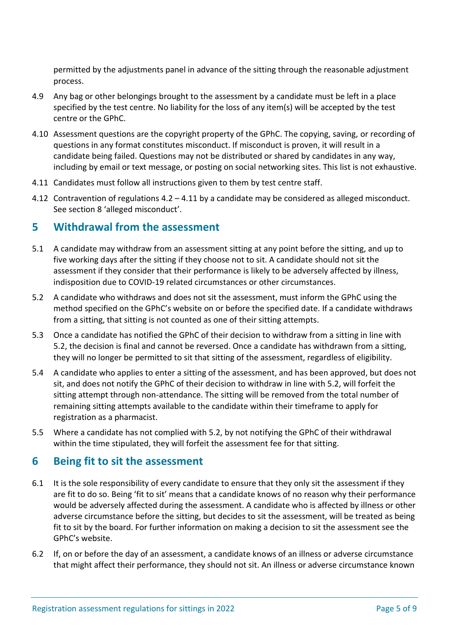permitted by the adjustments panel in advance of the sitting through the reasonable adjustment process.

- 4.9 Any bag or other belongings brought to the assessment by a candidate must be left in a place specified by the test centre. No liability for the loss of any item(s) will be accepted by the test centre or the GPhC.
- 4.10 Assessment questions are the copyright property of the GPhC. The copying, saving, or recording of questions in any format constitutes misconduct. If misconduct is proven, it will result in a candidate being failed. Questions may not be distributed or shared by candidates in any way, including by email or text message, or posting on social networking sites. This list is not exhaustive.
- 4.11 Candidates must follow all instructions given to them by test centre staff.
- 4.12 Contravention of regulations 4.2 4.11 by a candidate may be considered as alleged misconduct. See section 8 'alleged misconduct'.

#### **5 Withdrawal from the assessment**

- 5.1 A candidate may withdraw from an assessment sitting at any point before the sitting, and up to five working days after the sitting if they choose not to sit. A candidate should not sit the assessment if they consider that their performance is likely to be adversely affected by illness, indisposition due to COVID-19 related circumstances or other circumstances.
- 5.2 A candidate who withdraws and does not sit the assessment, must inform the GPhC using the method specified on the GPhC's website on or before the specified date. If a candidate withdraws from a sitting, that sitting is not counted as one of their sitting attempts.
- 5.3 Once a candidate has notified the GPhC of their decision to withdraw from a sitting in line with 5.2, the decision is final and cannot be reversed. Once a candidate has withdrawn from a sitting, they will no longer be permitted to sit that sitting of the assessment, regardless of eligibility.
- 5.4 A candidate who applies to enter a sitting of the assessment, and has been approved, but does not sit, and does not notify the GPhC of their decision to withdraw in line with 5.2, will forfeit the sitting attempt through non-attendance. The sitting will be removed from the total number of remaining sitting attempts available to the candidate within their timeframe to apply for registration as a pharmacist.
- 5.5 Where a candidate has not complied with 5.2, by not notifying the GPhC of their withdrawal within the time stipulated, they will forfeit the assessment fee for that sitting.

# **6 Being fit to sit the assessment**

- 6.1 It is the sole responsibility of every candidate to ensure that they only sit the assessment if they are fit to do so. Being 'fit to sit' means that a candidate knows of no reason why their performance would be adversely affected during the assessment. A candidate who is affected by illness or other adverse circumstance before the sitting, but decides to sit the assessment, will be treated as being fit to sit by the board. For further information on making a decision to sit the assessment see the GPhC's website.
- 6.2 If, on or before the day of an assessment, a candidate knows of an illness or adverse circumstance that might affect their performance, they should not sit. An illness or adverse circumstance known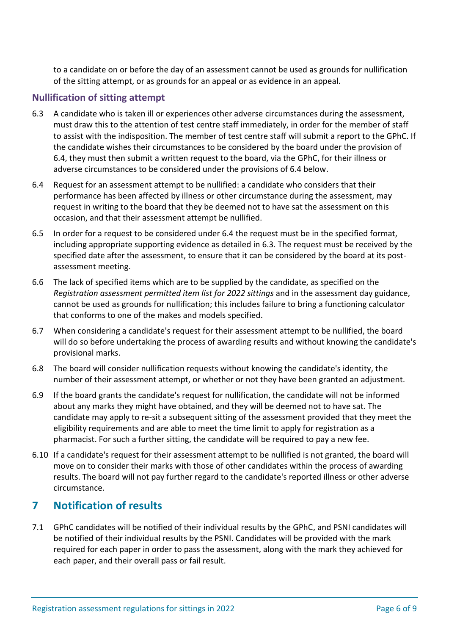to a candidate on or before the day of an assessment cannot be used as grounds for nullification of the sitting attempt, or as grounds for an appeal or as evidence in an appeal.

#### **Nullification of sitting attempt**

- 6.3 A candidate who is taken ill or experiences other adverse circumstances during the assessment, must draw this to the attention of test centre staff immediately, in order for the member of staff to assist with the indisposition. The member of test centre staff will submit a report to the GPhC. If the candidate wishes their circumstances to be considered by the board under the provision of 6.4, they must then submit a written request to the board, via the GPhC, for their illness or adverse circumstances to be considered under the provisions of 6.4 below.
- 6.4 Request for an assessment attempt to be nullified: a candidate who considers that their performance has been affected by illness or other circumstance during the assessment, may request in writing to the board that they be deemed not to have sat the assessment on this occasion, and that their assessment attempt be nullified.
- 6.5 In order for a request to be considered under 6.4 the request must be in the specified format, including appropriate supporting evidence as detailed in 6.3. The request must be received by the specified date after the assessment, to ensure that it can be considered by the board at its postassessment meeting.
- 6.6 The lack of specified items which are to be supplied by the candidate, as specified on the *Registration assessment permitted item list for 2022 sittings* and in the assessment day guidance, cannot be used as grounds for nullification; this includes failure to bring a functioning calculator that conforms to one of the makes and models specified.
- 6.7 When considering a candidate's request for their assessment attempt to be nullified, the board will do so before undertaking the process of awarding results and without knowing the candidate's provisional marks.
- 6.8 The board will consider nullification requests without knowing the candidate's identity, the number of their assessment attempt, or whether or not they have been granted an adjustment.
- 6.9 If the board grants the candidate's request for nullification, the candidate will not be informed about any marks they might have obtained, and they will be deemed not to have sat. The candidate may apply to re-sit a subsequent sitting of the assessment provided that they meet the eligibility requirements and are able to meet the time limit to apply for registration as a pharmacist. For such a further sitting, the candidate will be required to pay a new fee.
- 6.10 If a candidate's request for their assessment attempt to be nullified is not granted, the board will move on to consider their marks with those of other candidates within the process of awarding results. The board will not pay further regard to the candidate's reported illness or other adverse circumstance.

#### **7 Notification of results**

7.1 GPhC candidates will be notified of their individual results by the GPhC, and PSNI candidates will be notified of their individual results by the PSNI. Candidates will be provided with the mark required for each paper in order to pass the assessment, along with the mark they achieved for each paper, and their overall pass or fail result.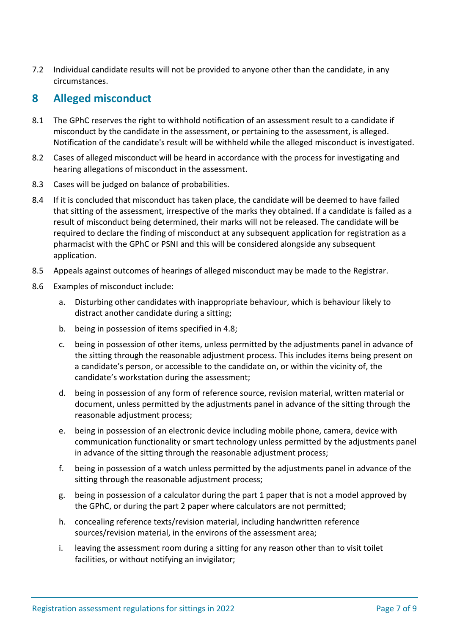7.2 Individual candidate results will not be provided to anyone other than the candidate, in any circumstances.

# **8 Alleged misconduct**

- 8.1 The GPhC reserves the right to withhold notification of an assessment result to a candidate if misconduct by the candidate in the assessment, or pertaining to the assessment, is alleged. Notification of the candidate's result will be withheld while the alleged misconduct is investigated.
- 8.2 Cases of alleged misconduct will be heard in accordance with the process for investigating and hearing allegations of misconduct in the assessment.
- 8.3 Cases will be judged on balance of probabilities.
- 8.4 If it is concluded that misconduct has taken place, the candidate will be deemed to have failed that sitting of the assessment, irrespective of the marks they obtained. If a candidate is failed as a result of misconduct being determined, their marks will not be released. The candidate will be required to declare the finding of misconduct at any subsequent application for registration as a pharmacist with the GPhC or PSNI and this will be considered alongside any subsequent application.
- 8.5 Appeals against outcomes of hearings of alleged misconduct may be made to the Registrar.
- 8.6 Examples of misconduct include:
	- a. Disturbing other candidates with inappropriate behaviour, which is behaviour likely to distract another candidate during a sitting;
	- b. being in possession of items specified in 4.8;
	- c. being in possession of other items, unless permitted by the adjustments panel in advance of the sitting through the reasonable adjustment process. This includes items being present on a candidate's person, or accessible to the candidate on, or within the vicinity of, the candidate's workstation during the assessment;
	- d. being in possession of any form of reference source, revision material, written material or document, unless permitted by the adjustments panel in advance of the sitting through the reasonable adjustment process;
	- e. being in possession of an electronic device including mobile phone, camera, device with communication functionality or smart technology unless permitted by the adjustments panel in advance of the sitting through the reasonable adjustment process;
	- f. being in possession of a watch unless permitted by the adjustments panel in advance of the sitting through the reasonable adjustment process;
	- g. being in possession of a calculator during the part 1 paper that is not a model approved by the GPhC, or during the part 2 paper where calculators are not permitted;
	- h. concealing reference texts/revision material, including handwritten reference sources/revision material, in the environs of the assessment area;
	- i. leaving the assessment room during a sitting for any reason other than to visit toilet facilities, or without notifying an invigilator;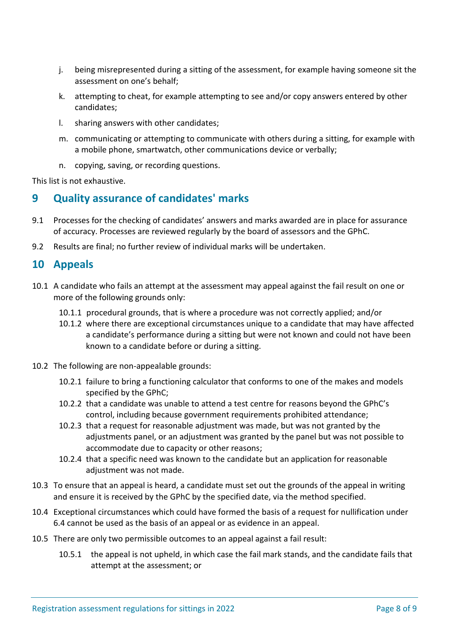- j. being misrepresented during a sitting of the assessment, for example having someone sit the assessment on one's behalf;
- k. attempting to cheat, for example attempting to see and/or copy answers entered by other candidates;
- l. sharing answers with other candidates;
- m. communicating or attempting to communicate with others during a sitting, for example with a mobile phone, smartwatch, other communications device or verbally;
- n. copying, saving, or recording questions.

This list is not exhaustive.

# **9 Quality assurance of candidates' marks**

- 9.1 Processes for the checking of candidates' answers and marks awarded are in place for assurance of accuracy. Processes are reviewed regularly by the board of assessors and the GPhC.
- 9.2 Results are final; no further review of individual marks will be undertaken.

## **10 Appeals**

- 10.1 A candidate who fails an attempt at the assessment may appeal against the fail result on one or more of the following grounds only:
	- 10.1.1 procedural grounds, that is where a procedure was not correctly applied; and/or
	- 10.1.2 where there are exceptional circumstances unique to a candidate that may have affected a candidate's performance during a sitting but were not known and could not have been known to a candidate before or during a sitting.
- 10.2 The following are non-appealable grounds:
	- 10.2.1 failure to bring a functioning calculator that conforms to one of the makes and models specified by the GPhC;
	- 10.2.2 that a candidate was unable to attend a test centre for reasons beyond the GPhC's control, including because government requirements prohibited attendance;
	- 10.2.3 that a request for reasonable adjustment was made, but was not granted by the adjustments panel, or an adjustment was granted by the panel but was not possible to accommodate due to capacity or other reasons;
	- 10.2.4 that a specific need was known to the candidate but an application for reasonable adiustment was not made.
- 10.3 To ensure that an appeal is heard, a candidate must set out the grounds of the appeal in writing and ensure it is received by the GPhC by the specified date, via the method specified.
- 10.4 Exceptional circumstances which could have formed the basis of a request for nullification under 6.4 cannot be used as the basis of an appeal or as evidence in an appeal.
- 10.5 There are only two permissible outcomes to an appeal against a fail result:
	- 10.5.1 the appeal is not upheld, in which case the fail mark stands, and the candidate fails that attempt at the assessment; or